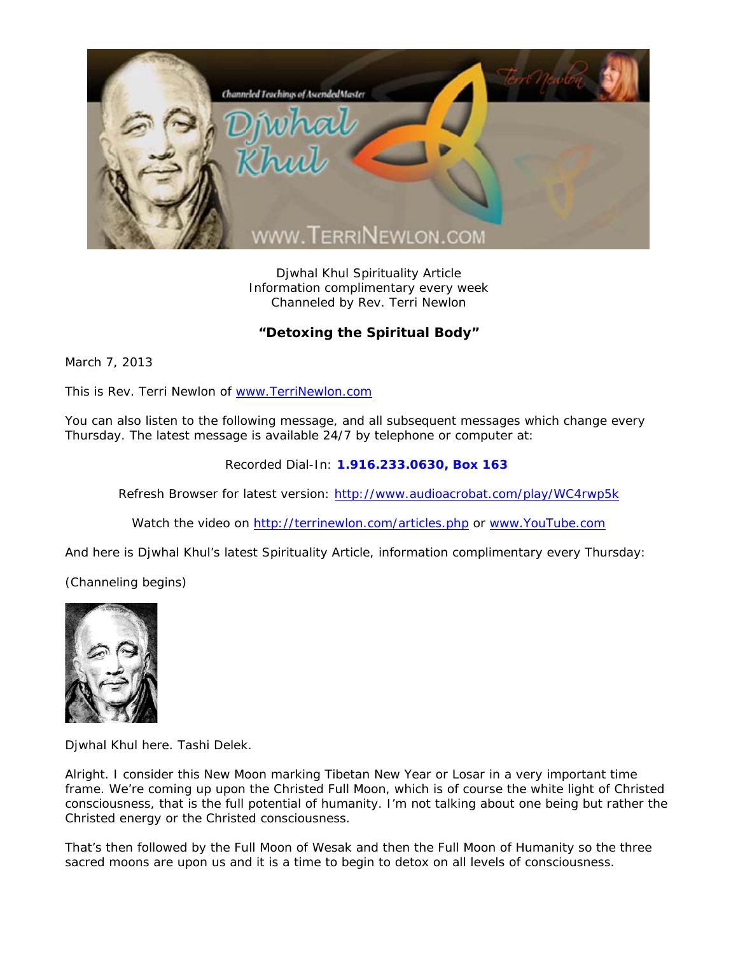

Djwhal Khul Spirituality Article Information complimentary every week Channeled by Rev. Terri Newlon

## **"Detoxing the Spiritual Body"**

March 7, 2013

This is Rev. Terri Newlon of www.TerriNewlon.com

You can also listen to the following message, and all subsequent messages which change every Thursday. The latest message is available 24/7 by telephone or computer at:

Recorded Dial-In: **1.916.233.0630, Box 163** 

Refresh Browser for latest version: http://www.audioacrobat.com/play/WC4rwp5k

Watch the video on http://terrinewlon.com/articles.php or www.YouTube.com

And here is Djwhal Khul's latest Spirituality Article, information complimentary every Thursday:

(Channeling begins)



Djwhal Khul here. Tashi Delek.

Alright. I consider this New Moon marking Tibetan New Year or Losar in a very important time frame. We're coming up upon the Christed Full Moon, which is of course the white light of Christed consciousness, that is the full potential of humanity. I'm not talking about one being but rather the Christed energy or the Christed consciousness.

That's then followed by the Full Moon of Wesak and then the Full Moon of Humanity so the three sacred moons are upon us and it is a time to begin to detox on all levels of consciousness.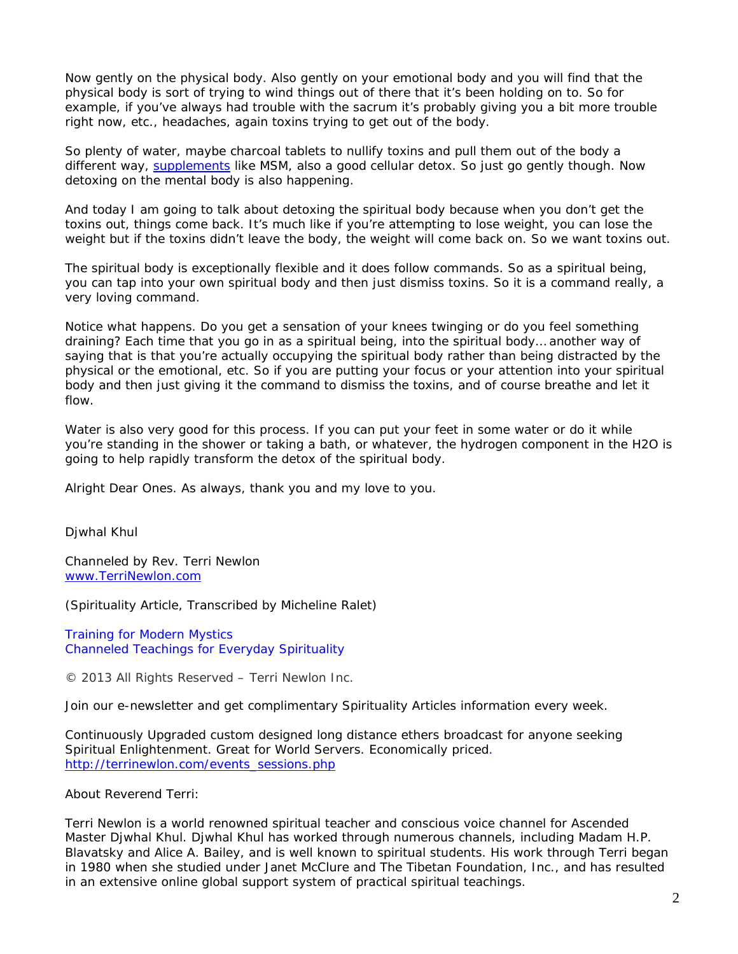Now gently on the physical body. Also gently on your emotional body and you will find that the physical body is sort of trying to wind things out of there that it's been holding on to. So for example, if you've always had trouble with the sacrum it's probably giving you a bit more trouble right now, etc., headaches, again toxins trying to get out of the body.

So plenty of water, maybe charcoal tablets to nullify toxins and pull them out of the body a different way, supplements like MSM, also a good cellular detox. So just go gently though. Now detoxing on the mental body is also happening.

And today I am going to talk about detoxing the spiritual body because when you don't get the toxins out, things come back. It's much like if you're attempting to lose weight, you can lose the weight but if the toxins didn't leave the body, the weight will come back on. So we want toxins out.

The spiritual body is exceptionally flexible and it does follow commands. So as a spiritual being, you can tap into your own spiritual body and then just dismiss toxins. So it is a command really, a very loving command.

Notice what happens. Do you get a sensation of your knees twinging or do you feel something draining? Each time that you go in as a spiritual being, into the spiritual body… another way of saying that is that you're actually occupying the spiritual body rather than being distracted by the physical or the emotional, etc. So if you are putting your focus or your attention into your spiritual body and then just giving it the command to dismiss the toxins, and of course *breathe* and let it flow.

Water is also very good for this process. If you can put your feet in some water or do it while you're standing in the shower or taking a bath, or whatever, the hydrogen component in the H2O is going to help rapidly transform the detox of the spiritual body.

Alright Dear Ones. As always, thank you and my love to you.

Djwhal Khul

Channeled by Rev. Terri Newlon www.TerriNewlon.com

(Spirituality Article, Transcribed by Micheline Ralet)

Training for Modern Mystics Channeled Teachings for Everyday Spirituality

© 2013 All Rights Reserved – Terri Newlon Inc.

Join our e-newsletter and get complimentary Spirituality Articles information every week.

Continuously Upgraded custom designed long distance ethers broadcast for anyone seeking Spiritual Enlightenment. Great for World Servers. Economically priced. http://terrinewlon.com/events\_sessions.php

About Reverend Terri:

Terri Newlon is a world renowned spiritual teacher and conscious voice channel for Ascended Master Djwhal Khul. Djwhal Khul has worked through numerous channels, including Madam H.P. Blavatsky and Alice A. Bailey, and is well known to spiritual students. His work through Terri began in 1980 when she studied under Janet McClure and The Tibetan Foundation, Inc., and has resulted in an extensive online global support system of practical spiritual teachings.